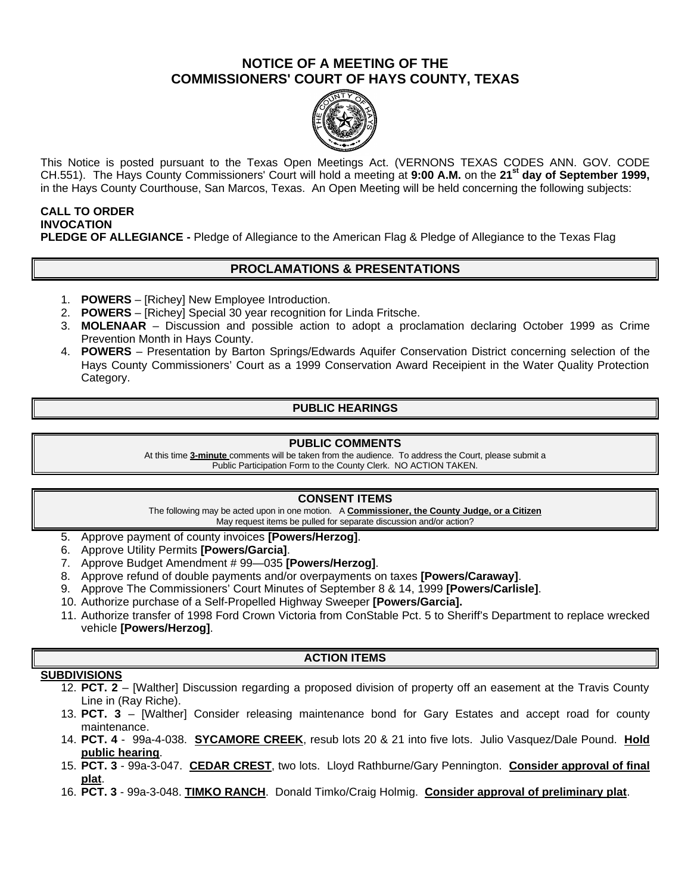# **NOTICE OF A MEETING OF THE COMMISSIONERS' COURT OF HAYS COUNTY, TEXAS**



This Notice is posted pursuant to the Texas Open Meetings Act. (VERNONS TEXAS CODES ANN. GOV. CODE CH.551). The Hays County Commissioners' Court will hold a meeting at **9:00 A.M.** on the **21st day of September 1999,**  in the Hays County Courthouse, San Marcos, Texas. An Open Meeting will be held concerning the following subjects:

## **CALL TO ORDER INVOCATION PLEDGE OF ALLEGIANCE -** Pledge of Allegiance to the American Flag & Pledge of Allegiance to the Texas Flag

# **PROCLAMATIONS & PRESENTATIONS**

- 1. **POWERS** [Richey] New Employee Introduction.
- 2. **POWERS** [Richey] Special 30 year recognition for Linda Fritsche.
- 3. **MOLENAAR** Discussion and possible action to adopt a proclamation declaring October 1999 as Crime Prevention Month in Hays County.
- 4. **POWERS**  Presentation by Barton Springs/Edwards Aquifer Conservation District concerning selection of the Hays County Commissioners' Court as a 1999 Conservation Award Receipient in the Water Quality Protection Category.

# **PUBLIC HEARINGS**

#### **PUBLIC COMMENTS**

At this time **3-minute** comments will be taken from the audience. To address the Court, please submit a Public Participation Form to the County Clerk. NO ACTION TAKEN.

## **CONSENT ITEMS**

The following may be acted upon in one motion. A **Commissioner, the County Judge, or a Citizen** May request items be pulled for separate discussion and/or action?

- 5. Approve payment of county invoices **[Powers/Herzog]**.
- 6. Approve Utility Permits **[Powers/Garcia]**.
- 7. Approve Budget Amendment # 99—035 **[Powers/Herzog]**.
- 8. Approve refund of double payments and/or overpayments on taxes **[Powers/Caraway]**.
- 9. Approve The Commissioners' Court Minutes of September 8 & 14, 1999 **[Powers/Carlisle]**.
- 10. Authorize purchase of a Self-Propelled Highway Sweeper **[Powers/Garcia].**
- 11. Authorize transfer of 1998 Ford Crown Victoria from ConStable Pct. 5 to Sheriff's Department to replace wrecked vehicle **[Powers/Herzog]**.

### **ACTION ITEMS**

### **SUBDIVISIONS**

- 12. **PCT. 2** [Walther] Discussion regarding a proposed division of property off an easement at the Travis County Line in (Ray Riche).
- 13. **PCT. 3** [Walther] Consider releasing maintenance bond for Gary Estates and accept road for county maintenance.
- 14. **PCT. 4** 99a-4-038. **SYCAMORE CREEK**, resub lots 20 & 21 into five lots. Julio Vasquez/Dale Pound. **Hold public hearing**.
- 15. **PCT. 3** 99a-3-047. **CEDAR CREST**, two lots. Lloyd Rathburne/Gary Pennington. **Consider approval of final plat**.
- 16. **PCT. 3**  99a-3-048. **TIMKO RANCH**. Donald Timko/Craig Holmig. **Consider approval of preliminary plat**.